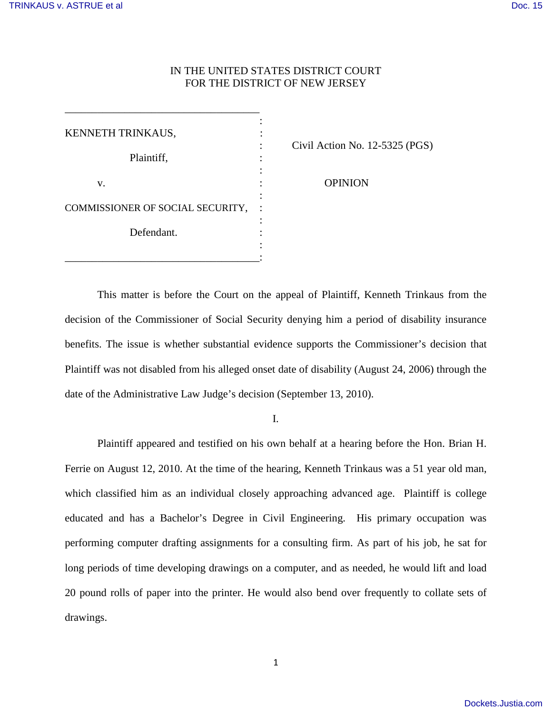# IN THE UNITED STATES DISTRICT COURT FOR THE DISTRICT OF NEW JERSEY

| KENNETH TRINKAUS,                |  |
|----------------------------------|--|
|                                  |  |
| Plaintiff,                       |  |
|                                  |  |
| V.                               |  |
|                                  |  |
| COMMISSIONER OF SOCIAL SECURITY, |  |
|                                  |  |
| Defendant.                       |  |
|                                  |  |
|                                  |  |

\_\_\_\_\_\_\_\_\_\_\_\_\_\_\_\_\_\_\_\_\_\_\_\_\_\_\_\_\_\_\_\_\_\_\_\_

: Civil Action No. 12-5325 (PGS)

**OPINION** 

This matter is before the Court on the appeal of Plaintiff, Kenneth Trinkaus from the decision of the Commissioner of Social Security denying him a period of disability insurance benefits. The issue is whether substantial evidence supports the Commissioner's decision that Plaintiff was not disabled from his alleged onset date of disability (August 24, 2006) through the date of the Administrative Law Judge's decision (September 13, 2010).

I.

<span id="page-0-0"></span>Plaintiff appeared and testified on his own behalf at a hearing before the Hon. Brian H. Ferrie on August 12, 2010. At the time of the hearing, Kenneth Trinkaus was a 51 year old man, which classified him as an individual closely approaching advanced age. Plaintiff is college educated and has a Bachelor's Degree in Civil Engineering. His primary occupation was performing computer drafting assignments for a consulting firm. As part of his job, he sat for long periods of time developing drawings on a computer, and as needed, he would lift and load 20 pound rolls of paper into the printer. He would also bend over frequently to collate sets of drawings.

1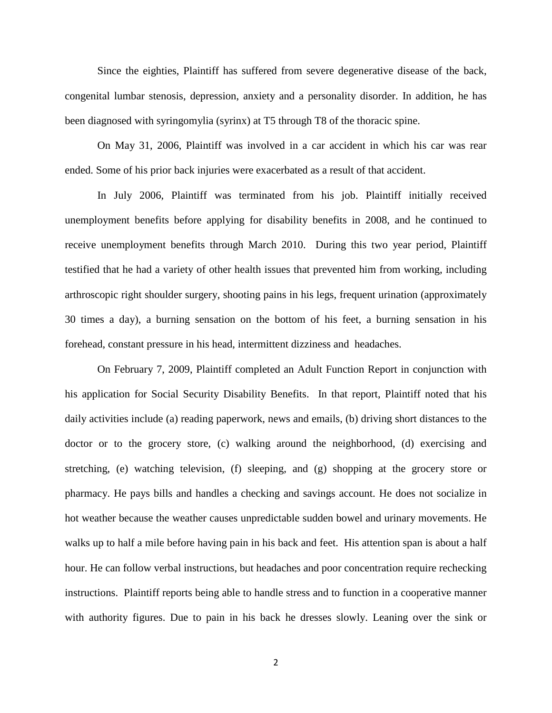Since the eighties, Plaintiff has suffered from severe degenerative disease of the back, congenital lumbar stenosis, depression, anxiety and a personality disorder. In addition, he has been diagnosed with syringomylia (syrinx) at T5 through T8 of the thoracic spine.

On May 31, 2006, Plaintiff was involved in a car accident in which his car was rear ended. Some of his prior back injuries were exacerbated as a result of that accident.

In July 2006, Plaintiff was terminated from his job. Plaintiff initially received unemployment benefits before applying for disability benefits in 2008, and he continued to receive unemployment benefits through March 2010. During this two year period, Plaintiff testified that he had a variety of other health issues that prevented him from working, including arthroscopic right shoulder surgery, shooting pains in his legs, frequent urination (approximately 30 times a day), a burning sensation on the bottom of his feet, a burning sensation in his forehead, constant pressure in his head, intermittent dizziness and headaches.

On February 7, 2009, Plaintiff completed an Adult Function Report in conjunction with his application for Social Security Disability Benefits. In that report, Plaintiff noted that his daily activities include (a) reading paperwork, news and emails, (b) driving short distances to the doctor or to the grocery store, (c) walking around the neighborhood, (d) exercising and stretching, (e) watching television, (f) sleeping, and (g) shopping at the grocery store or pharmacy. He pays bills and handles a checking and savings account. He does not socialize in hot weather because the weather causes unpredictable sudden bowel and urinary movements. He walks up to half a mile before having pain in his back and feet. His attention span is about a half hour. He can follow verbal instructions, but headaches and poor concentration require rechecking instructions. Plaintiff reports being able to handle stress and to function in a cooperative manner with authority figures. Due to pain in his back he dresses slowly. Leaning over the sink or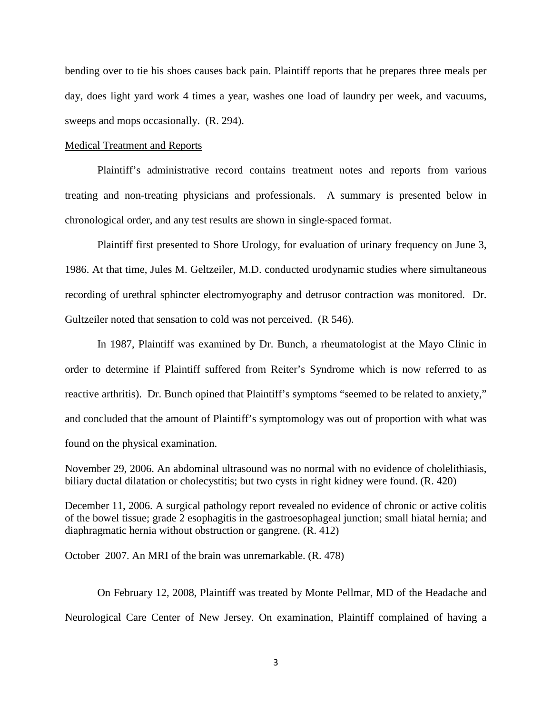bending over to tie his shoes causes back pain. Plaintiff reports that he prepares three meals per day, does light yard work 4 times a year, washes one load of laundry per week, and vacuums, sweeps and mops occasionally. (R. 294).

## Medical Treatment and Reports

Plaintiff's administrative record contains treatment notes and reports from various treating and non-treating physicians and professionals. A summary is presented below in chronological order, and any test results are shown in single-spaced format.

Plaintiff first presented to Shore Urology, for evaluation of urinary frequency on June 3, 1986. At that time, Jules M. Geltzeiler, M.D. conducted urodynamic studies where simultaneous recording of urethral sphincter electromyography and detrusor contraction was monitored. Dr. Gultzeiler noted that sensation to cold was not perceived. (R 546).

In 1987, Plaintiff was examined by Dr. Bunch, a rheumatologist at the Mayo Clinic in order to determine if Plaintiff suffered from Reiter's Syndrome which is now referred to as reactive arthritis). Dr. Bunch opined that Plaintiff's symptoms "seemed to be related to anxiety," and concluded that the amount of Plaintiff's symptomology was out of proportion with what was found on the physical examination.

November 29, 2006. An abdominal ultrasound was no normal with no evidence of cholelithiasis, biliary ductal dilatation or cholecystitis; but two cysts in right kidney were found. (R. 420)

December 11, 2006. A surgical pathology report revealed no evidence of chronic or active colitis of the bowel tissue; grade 2 esophagitis in the gastroesophageal junction; small hiatal hernia; and diaphragmatic hernia without obstruction or gangrene. (R. 412)

October 2007. An MRI of the brain was unremarkable. (R. 478)

On February 12, 2008, Plaintiff was treated by Monte Pellmar, MD of the Headache and Neurological Care Center of New Jersey. On examination, Plaintiff complained of having a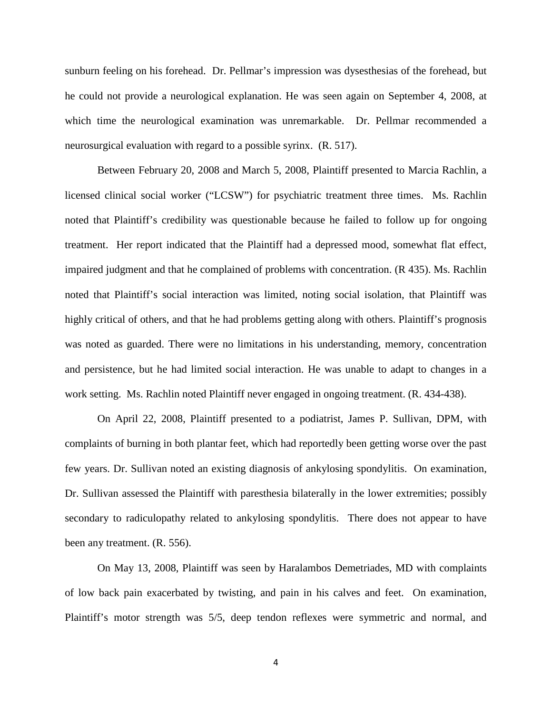sunburn feeling on his forehead. Dr. Pellmar's impression was dysesthesias of the forehead, but he could not provide a neurological explanation. He was seen again on September 4, 2008, at which time the neurological examination was unremarkable. Dr. Pellmar recommended a neurosurgical evaluation with regard to a possible syrinx. (R. 517).

Between February 20, 2008 and March 5, 2008, Plaintiff presented to Marcia Rachlin, a licensed clinical social worker ("LCSW") for psychiatric treatment three times. Ms. Rachlin noted that Plaintiff's credibility was questionable because he failed to follow up for ongoing treatment. Her report indicated that the Plaintiff had a depressed mood, somewhat flat effect, impaired judgment and that he complained of problems with concentration. (R 435). Ms. Rachlin noted that Plaintiff's social interaction was limited, noting social isolation, that Plaintiff was highly critical of others, and that he had problems getting along with others. Plaintiff's prognosis was noted as guarded. There were no limitations in his understanding, memory, concentration and persistence, but he had limited social interaction. He was unable to adapt to changes in a work setting. Ms. Rachlin noted Plaintiff never engaged in ongoing treatment. (R. 434-438).

On April 22, 2008, Plaintiff presented to a podiatrist, James P. Sullivan, DPM, with complaints of burning in both plantar feet, which had reportedly been getting worse over the past few years. Dr. Sullivan noted an existing diagnosis of ankylosing spondylitis. On examination, Dr. Sullivan assessed the Plaintiff with paresthesia bilaterally in the lower extremities; possibly secondary to radiculopathy related to ankylosing spondylitis. There does not appear to have been any treatment. (R. 556).

On May 13, 2008, Plaintiff was seen by Haralambos Demetriades, MD with complaints of low back pain exacerbated by twisting, and pain in his calves and feet. On examination, Plaintiff's motor strength was 5/5, deep tendon reflexes were symmetric and normal, and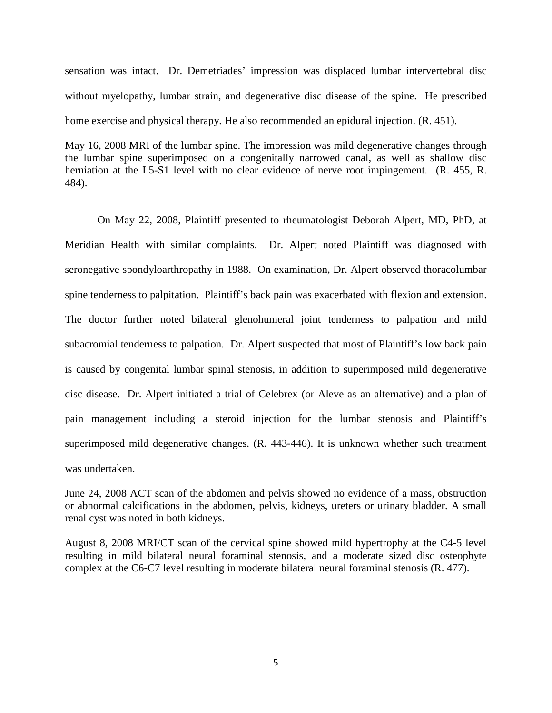sensation was intact. Dr. Demetriades' impression was displaced lumbar intervertebral disc without myelopathy, lumbar strain, and degenerative disc disease of the spine. He prescribed home exercise and physical therapy. He also recommended an epidural injection. (R. 451).

May 16, 2008 MRI of the lumbar spine. The impression was mild degenerative changes through the lumbar spine superimposed on a congenitally narrowed canal, as well as shallow disc herniation at the L5-S1 level with no clear evidence of nerve root impingement. (R. 455, R. 484).

On May 22, 2008, Plaintiff presented to rheumatologist Deborah Alpert, MD, PhD, at Meridian Health with similar complaints. Dr. Alpert noted Plaintiff was diagnosed with seronegative spondyloarthropathy in 1988. On examination, Dr. Alpert observed thoracolumbar spine tenderness to palpitation. Plaintiff's back pain was exacerbated with flexion and extension. The doctor further noted bilateral glenohumeral joint tenderness to palpation and mild subacromial tenderness to palpation. Dr. Alpert suspected that most of Plaintiff's low back pain is caused by congenital lumbar spinal stenosis, in addition to superimposed mild degenerative disc disease. Dr. Alpert initiated a trial of Celebrex (or Aleve as an alternative) and a plan of pain management including a steroid injection for the lumbar stenosis and Plaintiff's superimposed mild degenerative changes. (R. 443-446). It is unknown whether such treatment was undertaken.

June 24, 2008 ACT scan of the abdomen and pelvis showed no evidence of a mass, obstruction or abnormal calcifications in the abdomen, pelvis, kidneys, ureters or urinary bladder. A small renal cyst was noted in both kidneys.

August 8, 2008 MRI/CT scan of the cervical spine showed mild hypertrophy at the C4-5 level resulting in mild bilateral neural foraminal stenosis, and a moderate sized disc osteophyte complex at the C6-C7 level resulting in moderate bilateral neural foraminal stenosis (R. 477).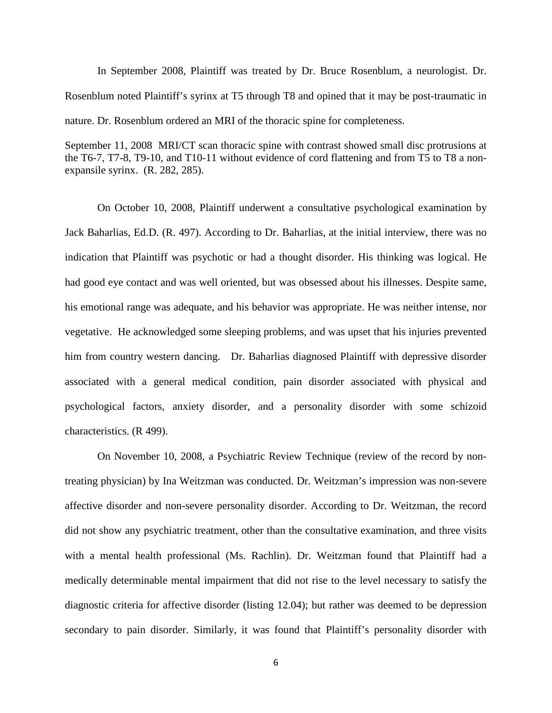In September 2008, Plaintiff was treated by Dr. Bruce Rosenblum, a neurologist. Dr. Rosenblum noted Plaintiff's syrinx at T5 through T8 and opined that it may be post-traumatic in nature. Dr. Rosenblum ordered an MRI of the thoracic spine for completeness.

September 11, 2008 MRI/CT scan thoracic spine with contrast showed small disc protrusions at the T6-7, T7-8, T9-10, and T10-11 without evidence of cord flattening and from T5 to T8 a nonexpansile syrinx. (R. 282, 285).

On October 10, 2008, Plaintiff underwent a consultative psychological examination by Jack Baharlias, Ed.D. (R. 497). According to Dr. Baharlias, at the initial interview, there was no indication that Plaintiff was psychotic or had a thought disorder. His thinking was logical. He had good eye contact and was well oriented, but was obsessed about his illnesses. Despite same, his emotional range was adequate, and his behavior was appropriate. He was neither intense, nor vegetative. He acknowledged some sleeping problems, and was upset that his injuries prevented him from country western dancing. Dr. Baharlias diagnosed Plaintiff with depressive disorder associated with a general medical condition, pain disorder associated with physical and psychological factors, anxiety disorder, and a personality disorder with some schizoid characteristics. (R 499).

On November 10, 2008, a Psychiatric Review Technique (review of the record by nontreating physician) by Ina Weitzman was conducted. Dr. Weitzman's impression was non-severe affective disorder and non-severe personality disorder. According to Dr. Weitzman, the record did not show any psychiatric treatment, other than the consultative examination, and three visits with a mental health professional (Ms. Rachlin). Dr. Weitzman found that Plaintiff had a medically determinable mental impairment that did not rise to the level necessary to satisfy the diagnostic criteria for affective disorder (listing 12.04); but rather was deemed to be depression secondary to pain disorder. Similarly, it was found that Plaintiff's personality disorder with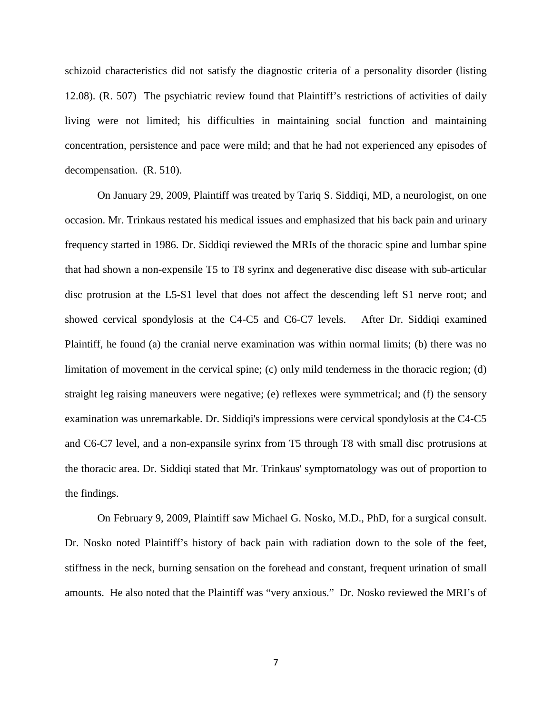schizoid characteristics did not satisfy the diagnostic criteria of a personality disorder (listing 12.08). (R. 507) The psychiatric review found that Plaintiff's restrictions of activities of daily living were not limited; his difficulties in maintaining social function and maintaining concentration, persistence and pace were mild; and that he had not experienced any episodes of decompensation. (R. 510).

On January 29, 2009, Plaintiff was treated by Tariq S. Siddiqi, MD, a neurologist, on one occasion. Mr. Trinkaus restated his medical issues and emphasized that his back pain and urinary frequency started in 1986. Dr. Siddiqi reviewed the MRIs of the thoracic spine and lumbar spine that had shown a non-expensile T5 to T8 syrinx and degenerative disc disease with sub-articular disc protrusion at the L5-S1 level that does not affect the descending left S1 nerve root; and showed cervical spondylosis at the C4-C5 and C6-C7 levels. After Dr. Siddiqi examined Plaintiff, he found (a) the cranial nerve examination was within normal limits; (b) there was no limitation of movement in the cervical spine; (c) only mild tenderness in the thoracic region; (d) straight leg raising maneuvers were negative; (e) reflexes were symmetrical; and (f) the sensory examination was unremarkable. Dr. Siddiqi's impressions were cervical spondylosis at the C4-C5 and C6-C7 level, and a non-expansile syrinx from T5 through T8 with small disc protrusions at the thoracic area. Dr. Siddiqi stated that Mr. Trinkaus' symptomatology was out of proportion to the findings.

On February 9, 2009, Plaintiff saw Michael G. Nosko, M.D., PhD, for a surgical consult. Dr. Nosko noted Plaintiff's history of back pain with radiation down to the sole of the feet, stiffness in the neck, burning sensation on the forehead and constant, frequent urination of small amounts. He also noted that the Plaintiff was "very anxious." Dr. Nosko reviewed the MRI's of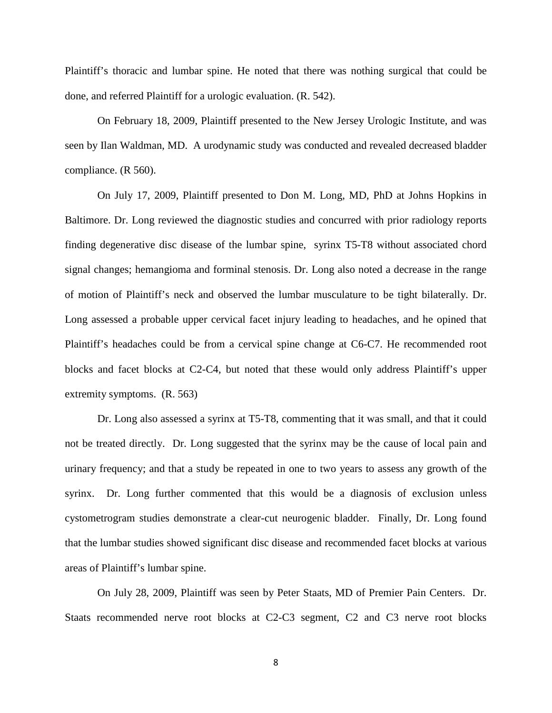Plaintiff's thoracic and lumbar spine. He noted that there was nothing surgical that could be done, and referred Plaintiff for a urologic evaluation. (R. 542).

On February 18, 2009, Plaintiff presented to the New Jersey Urologic Institute, and was seen by Ilan Waldman, MD. A urodynamic study was conducted and revealed decreased bladder compliance. (R 560).

On July 17, 2009, Plaintiff presented to Don M. Long, MD, PhD at Johns Hopkins in Baltimore. Dr. Long reviewed the diagnostic studies and concurred with prior radiology reports finding degenerative disc disease of the lumbar spine, syrinx T5-T8 without associated chord signal changes; hemangioma and forminal stenosis. Dr. Long also noted a decrease in the range of motion of Plaintiff's neck and observed the lumbar musculature to be tight bilaterally. Dr. Long assessed a probable upper cervical facet injury leading to headaches, and he opined that Plaintiff's headaches could be from a cervical spine change at C6-C7. He recommended root blocks and facet blocks at C2-C4, but noted that these would only address Plaintiff's upper extremity symptoms. (R. 563)

Dr. Long also assessed a syrinx at T5-T8, commenting that it was small, and that it could not be treated directly. Dr. Long suggested that the syrinx may be the cause of local pain and urinary frequency; and that a study be repeated in one to two years to assess any growth of the syrinx. Dr. Long further commented that this would be a diagnosis of exclusion unless cystometrogram studies demonstrate a clear-cut neurogenic bladder. Finally, Dr. Long found that the lumbar studies showed significant disc disease and recommended facet blocks at various areas of Plaintiff's lumbar spine.

On July 28, 2009, Plaintiff was seen by Peter Staats, MD of Premier Pain Centers. Dr. Staats recommended nerve root blocks at C2-C3 segment, C2 and C3 nerve root blocks

8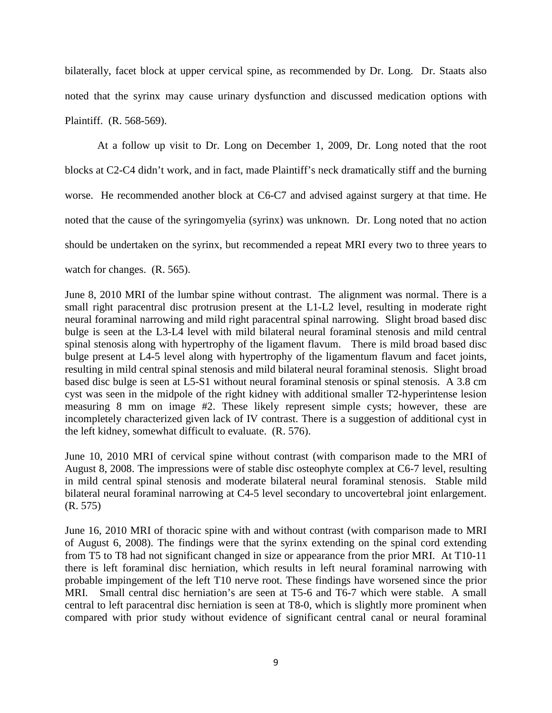bilaterally, facet block at upper cervical spine, as recommended by Dr. Long. Dr. Staats also noted that the syrinx may cause urinary dysfunction and discussed medication options with Plaintiff. (R. 568-569).

At a follow up visit to Dr. Long on December 1, 2009, Dr. Long noted that the root blocks at C2-C4 didn't work, and in fact, made Plaintiff's neck dramatically stiff and the burning worse. He recommended another block at C6-C7 and advised against surgery at that time. He noted that the cause of the syringomyelia (syrinx) was unknown. Dr. Long noted that no action should be undertaken on the syrinx, but recommended a repeat MRI every two to three years to watch for changes. (R. 565).

June 8, 2010 MRI of the lumbar spine without contrast. The alignment was normal. There is a small right paracentral disc protrusion present at the L1-L2 level, resulting in moderate right neural foraminal narrowing and mild right paracentral spinal narrowing. Slight broad based disc bulge is seen at the L3-L4 level with mild bilateral neural foraminal stenosis and mild central spinal stenosis along with hypertrophy of the ligament flavum. There is mild broad based disc bulge present at L4-5 level along with hypertrophy of the ligamentum flavum and facet joints, resulting in mild central spinal stenosis and mild bilateral neural foraminal stenosis. Slight broad based disc bulge is seen at L5-S1 without neural foraminal stenosis or spinal stenosis. A 3.8 cm cyst was seen in the midpole of the right kidney with additional smaller T2-hyperintense lesion measuring 8 mm on image #2. These likely represent simple cysts; however, these are incompletely characterized given lack of IV contrast. There is a suggestion of additional cyst in the left kidney, somewhat difficult to evaluate. (R. 576).

June 10, 2010 MRI of cervical spine without contrast (with comparison made to the MRI of August 8, 2008. The impressions were of stable disc osteophyte complex at C6-7 level, resulting in mild central spinal stenosis and moderate bilateral neural foraminal stenosis. Stable mild bilateral neural foraminal narrowing at C4-5 level secondary to uncovertebral joint enlargement. (R. 575)

June 16, 2010 MRI of thoracic spine with and without contrast (with comparison made to MRI of August 6, 2008). The findings were that the syrinx extending on the spinal cord extending from T5 to T8 had not significant changed in size or appearance from the prior MRI. At T10-11 there is left foraminal disc herniation, which results in left neural foraminal narrowing with probable impingement of the left T10 nerve root. These findings have worsened since the prior MRI. Small central disc herniation's are seen at T5-6 and T6-7 which were stable. A small central to left paracentral disc herniation is seen at T8-0, which is slightly more prominent when compared with prior study without evidence of significant central canal or neural foraminal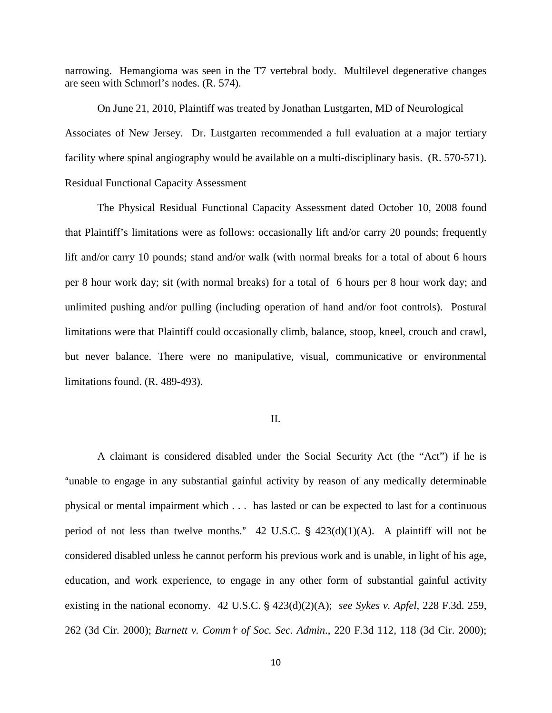narrowing. Hemangioma was seen in the T7 vertebral body. Multilevel degenerative changes are seen with Schmorl's nodes. (R. 574).

 On June 21, 2010, Plaintiff was treated by Jonathan Lustgarten, MD of Neurological Associates of New Jersey. Dr. Lustgarten recommended a full evaluation at a major tertiary facility where spinal angiography would be available on a multi-disciplinary basis. (R. 570-571).

## Residual Functional Capacity Assessment

The Physical Residual Functional Capacity Assessment dated October 10, 2008 found that Plaintiff's limitations were as follows: occasionally lift and/or carry 20 pounds; frequently lift and/or carry 10 pounds; stand and/or walk (with normal breaks for a total of about 6 hours per 8 hour work day; sit (with normal breaks) for a total of 6 hours per 8 hour work day; and unlimited pushing and/or pulling (including operation of hand and/or foot controls). Postural limitations were that Plaintiff could occasionally climb, balance, stoop, kneel, crouch and crawl, but never balance. There were no manipulative, visual, communicative or environmental limitations found. (R. 489-493).

## II.

 A claimant is considered disabled under the Social Security Act (the "Act") if he is "unable to engage in any substantial gainful activity by reason of any medically determinable physical or mental impairment which . . . has lasted or can be expected to last for a continuous period of not less than twelve months."  $42 \text{ U.S.C. }$  \$  $423(d)(1)(A)$ . A plaintiff will not be considered disabled unless he cannot perform his previous work and is unable, in light of his age, education, and work experience, to engage in any other form of substantial gainful activity existing in the national economy. 42 U.S.C. § 423(d)(2)(A); *see Sykes v. Apfel*, 228 F.3d. 259, 262 (3d Cir. 2000); *Burnett v. Comm'r of Soc. Sec. Admin.*, 220 F.3d 112, 118 (3d Cir. 2000);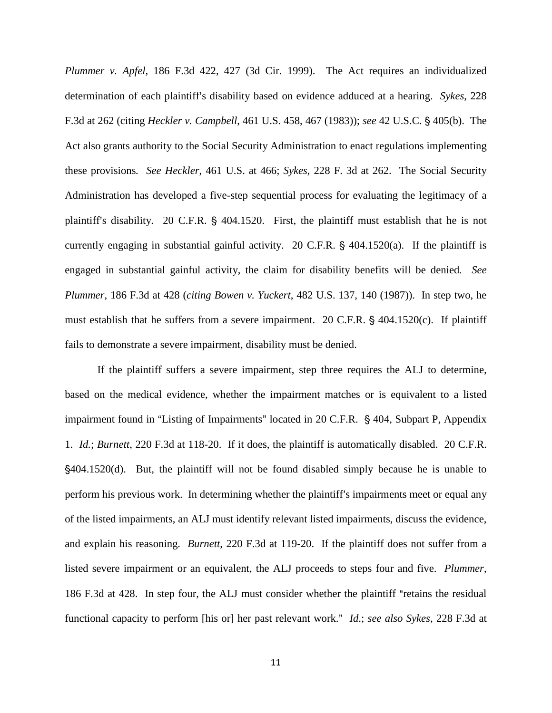*Plummer v. Apfel*, 186 F.3d 422, 427 (3d Cir. 1999). The Act requires an individualized determination of each plaintiff's disability based on evidence adduced at a hearing. *Sykes*, 228 F.3d at 262 (citing *Heckler v. Campbell*, 461 U.S. 458, 467 (1983)); *see* 42 U.S.C. ' 405(b). The Act also grants authority to the Social Security Administration to enact regulations implementing these provisions*. See Heckler*, 461 U.S. at 466; *Sykes*, 228 F. 3d at 262. The Social Security Administration has developed a five-step sequential process for evaluating the legitimacy of a plaintiff's disability. 20 C.F.R.  $\frac{6}{5}$  404.1520. First, the plaintiff must establish that he is not currently engaging in substantial gainful activity. 20 C.F.R.  $\S$  404.1520(a). If the plaintiff is engaged in substantial gainful activity, the claim for disability benefits will be denied*. See Plummer*, 186 F.3d at 428 (*citing Bowen v. Yuckert*, 482 U.S. 137, 140 (1987)). In step two, he must establish that he suffers from a severe impairment. 20 C.F.R.  $\S$  404.1520(c). If plaintiff fails to demonstrate a severe impairment, disability must be denied.

If the plaintiff suffers a severe impairment, step three requires the ALJ to determine, based on the medical evidence, whether the impairment matches or is equivalent to a listed impairment found in "Listing of Impairments" located in 20 C.F.R.  $\S$  404, Subpart P, Appendix 1. *Id.*; *Burnett*, 220 F.3d at 118-20. If it does, the plaintiff is automatically disabled. 20 C.F.R. '404.1520(d). But, the plaintiff will not be found disabled simply because he is unable to perform his previous work. In determining whether the plaintiff's impairments meet or equal any of the listed impairments, an ALJ must identify relevant listed impairments, discuss the evidence, and explain his reasoning. *Burnett*, 220 F.3d at 119-20. If the plaintiff does not suffer from a listed severe impairment or an equivalent, the ALJ proceeds to steps four and five. *Plummer*, 186 F.3d at 428. In step four, the ALJ must consider whether the plaintiff "retains the residual functional capacity to perform [his or] her past relevant work." *Id.*; *see also Sykes*, 228 F.3d at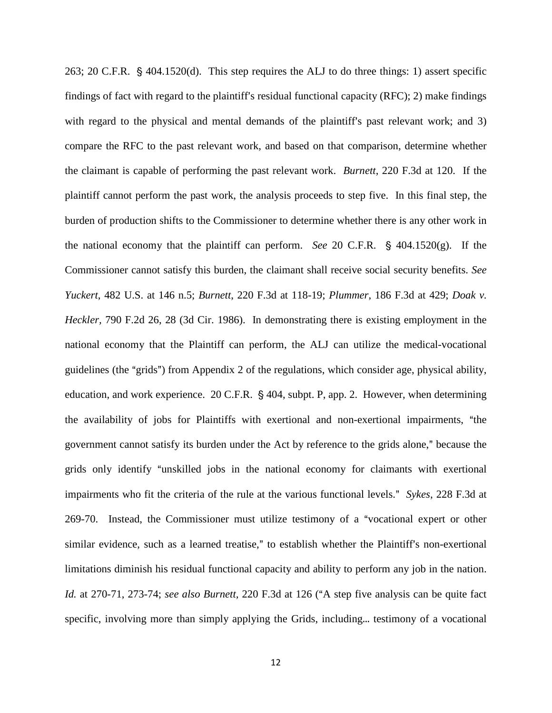263; 20 C.F.R.  $\hat{\S}$  404.1520(d). This step requires the ALJ to do three things: 1) assert specific findings of fact with regard to the plaintiff's residual functional capacity  $(RFC)$ ; 2) make findings with regard to the physical and mental demands of the plaintiff's past relevant work; and  $3$ ) compare the RFC to the past relevant work, and based on that comparison, determine whether the claimant is capable of performing the past relevant work. *Burnett*, 220 F.3d at 120. If the plaintiff cannot perform the past work, the analysis proceeds to step five. In this final step, the burden of production shifts to the Commissioner to determine whether there is any other work in the national economy that the plaintiff can perform. *See* 20 C.F.R.  $\S$  404.1520(g). If the Commissioner cannot satisfy this burden, the claimant shall receive social security benefits. *See Yuckert*, 482 U.S. at 146 n.5; *Burnett*, 220 F.3d at 118-19; *Plummer*, 186 F.3d at 429; *Doak v. Heckler,* 790 F.2d 26, 28 (3d Cir. 1986). In demonstrating there is existing employment in the national economy that the Plaintiff can perform, the ALJ can utilize the medical-vocational guidelines (the "grids") from Appendix 2 of the regulations, which consider age, physical ability, education, and work experience.  $20$  C.F.R. § 404, subpt. P, app. 2. However, when determining the availability of jobs for Plaintiffs with exertional and non-exertional impairments, "the government cannot satisfy its burden under the Act by reference to the grids alone," because the grids only identify "unskilled jobs in the national economy for claimants with exertional impairments who fit the criteria of the rule at the various functional levels." *Sykes*, 228 F.3d at 269-70. Instead, the Commissioner must utilize testimony of a "vocational expert or other similar evidence, such as a learned treatise," to establish whether the Plaintiff's non-exertional limitations diminish his residual functional capacity and ability to perform any job in the nation. *Id.* at 270-71, 273-74; *see also Burnett*, 220 F.3d at 126 ("A step five analysis can be quite fact specific, involving more than simply applying the Grids, including... testimony of a vocational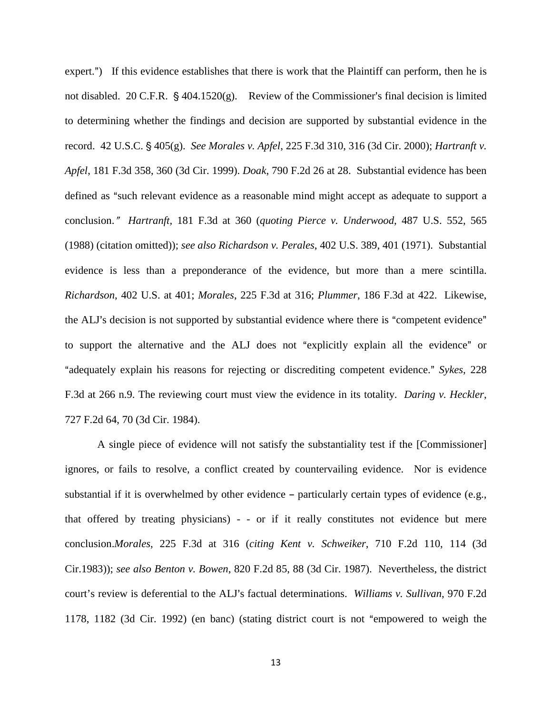expert.") If this evidence establishes that there is work that the Plaintiff can perform, then he is not disabled. 20 C.F.R.  $\S$  404.1520(g). Review of the Commissioner's final decision is limited to determining whether the findings and decision are supported by substantial evidence in the record. 42 U.S.C. § 405(g). *See Morales v. Apfel*, 225 F.3d 310, 316 (3d Cir. 2000); *Hartranft v. Apfel*, 181 F.3d 358, 360 (3d Cir. 1999). *Doak*, 790 F.2d 26 at 28. Substantial evidence has been defined as "such relevant evidence as a reasonable mind might accept as adequate to support a conclusion.@ *Hartranft,* 181 F.3d at 360 (*quoting Pierce v. Underwood*, 487 U.S. 552, 565 (1988) (citation omitted)); *see also Richardson v. Perales*, 402 U.S. 389, 401 (1971). Substantial evidence is less than a preponderance of the evidence, but more than a mere scintilla. *Richardson*, 402 U.S. at 401; *Morales*, 225 F.3d at 316; *Plummer*, 186 F.3d at 422. Likewise, the ALJ's decision is not supported by substantial evidence where there is "competent evidence" to support the alternative and the ALJ does not "explicitly explain all the evidence" or <sup>4</sup> "adequately explain his reasons for rejecting or discrediting competent evidence." *Sykes*, 228 F.3d at 266 n.9. The reviewing court must view the evidence in its totality. *Daring v. Heckler*, 727 F.2d 64, 70 (3d Cir. 1984).

A single piece of evidence will not satisfy the substantiality test if the [Commissioner] ignores, or fails to resolve, a conflict created by countervailing evidence. Nor is evidence substantial if it is overwhelmed by other evidence  $-$  particularly certain types of evidence (e.g., that offered by treating physicians) - - or if it really constitutes not evidence but mere conclusion.*Morales*, 225 F.3d at 316 (*citing Kent v. Schweiker*, 710 F.2d 110, 114 (3d Cir.1983)); *see also Benton v. Bowen*, 820 F.2d 85, 88 (3d Cir. 1987). Nevertheless, the district court's review is deferential to the ALJ's factual determinations. *Williams v. Sullivan*, 970 F.2d 1178, 1182 (3d Cir. 1992) (en banc) (stating district court is not "empowered to weigh the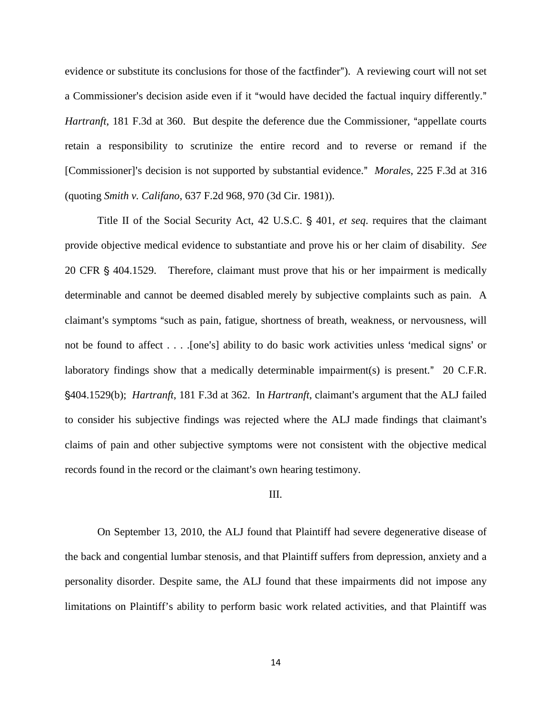evidence or substitute its conclusions for those of the factfinder"). A reviewing court will not set a Commissioner's decision aside even if it "would have decided the factual inquiry differently." *Hartranft*, 181 F.3d at 360. But despite the deference due the Commissioner, "appellate courts" retain a responsibility to scrutinize the entire record and to reverse or remand if the [Commissioner]'s decision is not supported by substantial evidence." *Morales*, 225 F.3d at 316 (quoting *Smith v. Califano*, 637 F.2d 968, 970 (3d Cir. 1981)).

Title II of the Social Security Act, 42 U.S.C. § 401, *et seq.* requires that the claimant provide objective medical evidence to substantiate and prove his or her claim of disability. *See*  20 CFR § 404.1529. Therefore, claimant must prove that his or her impairment is medically determinable and cannot be deemed disabled merely by subjective complaints such as pain. A claimant's symptoms "such as pain, fatigue, shortness of breath, weakness, or nervousness, will not be found to affect . . . . [one's] ability to do basic work activities unless 'medical signs' or laboratory findings show that a medically determinable impairment(s) is present."  $20$  C.F.R. '404.1529(b); *Hartranft*, 181 F.3d at 362. In *Hartranft*, claimant=s argument that the ALJ failed to consider his subjective findings was rejected where the ALJ made findings that claimant's claims of pain and other subjective symptoms were not consistent with the objective medical records found in the record or the claimant's own hearing testimony.

#### III.

On September 13, 2010, the ALJ found that Plaintiff had severe degenerative disease of the back and congential lumbar stenosis, and that Plaintiff suffers from depression, anxiety and a personality disorder. Despite same, the ALJ found that these impairments did not impose any limitations on Plaintiff's ability to perform basic work related activities, and that Plaintiff was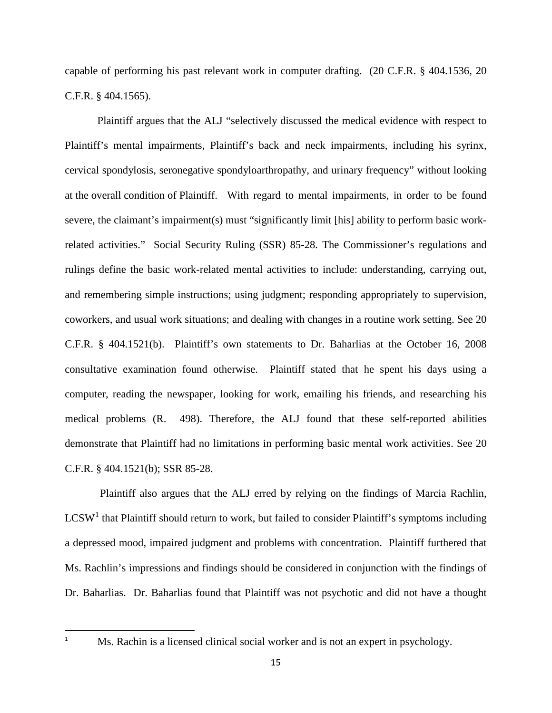capable of performing his past relevant work in computer drafting. (20 C.F.R. § 404.1536, 20 C.F.R. § 404.1565).

Plaintiff argues that the ALJ "selectively discussed the medical evidence with respect to Plaintiff's mental impairments, Plaintiff's back and neck impairments, including his syrinx, cervical spondylosis, seronegative spondyloarthropathy, and urinary frequency" without looking at the overall condition of Plaintiff. With regard to mental impairments, in order to be found severe, the claimant's impairment(s) must "significantly limit [his] ability to perform basic workrelated activities." Social Security Ruling (SSR) 85-28. The Commissioner's regulations and rulings define the basic work-related mental activities to include: understanding, carrying out, and remembering simple instructions; using judgment; responding appropriately to supervision, coworkers, and usual work situations; and dealing with changes in a routine work setting. See 20 C.F.R. § 404.1521(b). Plaintiff's own statements to Dr. Baharlias at the October 16, 2008 consultative examination found otherwise. Plaintiff stated that he spent his days using a computer, reading the newspaper, looking for work, emailing his friends, and researching his medical problems (R. 498). Therefore, the ALJ found that these self-reported abilities demonstrate that Plaintiff had no limitations in performing basic mental work activities. See 20 C.F.R. § 404.1521(b); SSR 85-28.

<span id="page-14-0"></span> Plaintiff also argues that the ALJ erred by relying on the findings of Marcia Rachlin,  $LCSW<sup>1</sup>$  $LCSW<sup>1</sup>$  $LCSW<sup>1</sup>$  that Plaintiff should return to work, but failed to consider Plaintiff's symptoms including a depressed mood, impaired judgment and problems with concentration. Plaintiff furthered that Ms. Rachlin's impressions and findings should be considered in conjunction with the findings of Dr. Baharlias. Dr. Baharlias found that Plaintiff was not psychotic and did not have a thought

 $\overline{a}$ 1

Ms. Rachin is a licensed clinical social worker and is not an expert in psychology.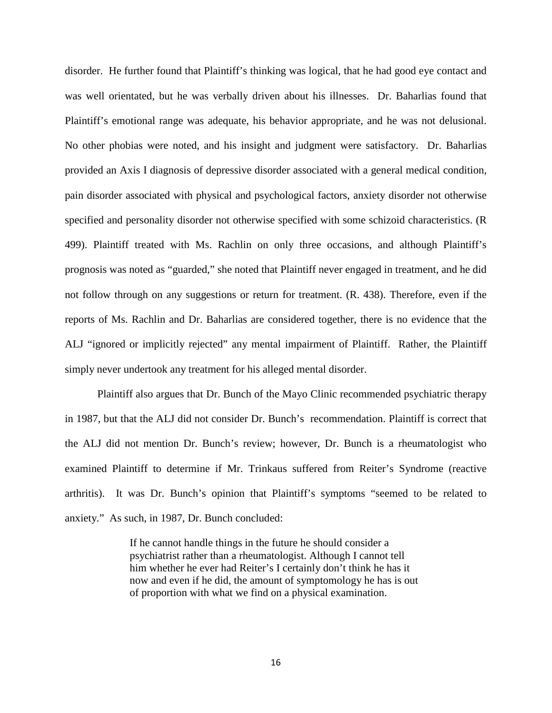disorder. He further found that Plaintiff's thinking was logical, that he had good eye contact and was well orientated, but he was verbally driven about his illnesses. Dr. Baharlias found that Plaintiff's emotional range was adequate, his behavior appropriate, and he was not delusional. No other phobias were noted, and his insight and judgment were satisfactory. Dr. Baharlias provided an Axis I diagnosis of depressive disorder associated with a general medical condition, pain disorder associated with physical and psychological factors, anxiety disorder not otherwise specified and personality disorder not otherwise specified with some schizoid characteristics. (R 499). Plaintiff treated with Ms. Rachlin on only three occasions, and although Plaintiff's prognosis was noted as "guarded," she noted that Plaintiff never engaged in treatment, and he did not follow through on any suggestions or return for treatment. (R. 438). Therefore, even if the reports of Ms. Rachlin and Dr. Baharlias are considered together, there is no evidence that the ALJ "ignored or implicitly rejected" any mental impairment of Plaintiff. Rather, the Plaintiff simply never undertook any treatment for his alleged mental disorder.

Plaintiff also argues that Dr. Bunch of the Mayo Clinic recommended psychiatric therapy in 1987, but that the ALJ did not consider Dr. Bunch's recommendation. Plaintiff is correct that the ALJ did not mention Dr. Bunch's review; however, Dr. Bunch is a rheumatologist who examined Plaintiff to determine if Mr. Trinkaus suffered from Reiter's Syndrome (reactive arthritis). It was Dr. Bunch's opinion that Plaintiff's symptoms "seemed to be related to anxiety." As such, in 1987, Dr. Bunch concluded:

> If he cannot handle things in the future he should consider a psychiatrist rather than a rheumatologist. Although I cannot tell him whether he ever had Reiter's I certainly don't think he has it now and even if he did, the amount of symptomology he has is out of proportion with what we find on a physical examination.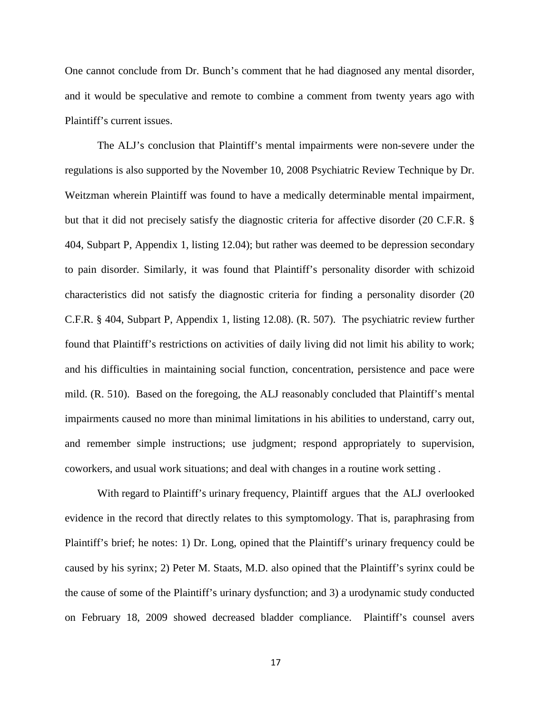One cannot conclude from Dr. Bunch's comment that he had diagnosed any mental disorder, and it would be speculative and remote to combine a comment from twenty years ago with Plaintiff's current issues.

The ALJ's conclusion that Plaintiff's mental impairments were non-severe under the regulations is also supported by the November 10, 2008 Psychiatric Review Technique by Dr. Weitzman wherein Plaintiff was found to have a medically determinable mental impairment, but that it did not precisely satisfy the diagnostic criteria for affective disorder (20 C.F.R. § 404, Subpart P, Appendix 1, listing 12.04); but rather was deemed to be depression secondary to pain disorder. Similarly, it was found that Plaintiff's personality disorder with schizoid characteristics did not satisfy the diagnostic criteria for finding a personality disorder (20 C.F.R. § 404, Subpart P, Appendix 1, listing 12.08). (R. 507). The psychiatric review further found that Plaintiff's restrictions on activities of daily living did not limit his ability to work; and his difficulties in maintaining social function, concentration, persistence and pace were mild. (R. 510). Based on the foregoing, the ALJ reasonably concluded that Plaintiff's mental impairments caused no more than minimal limitations in his abilities to understand, carry out, and remember simple instructions; use judgment; respond appropriately to supervision, coworkers, and usual work situations; and deal with changes in a routine work setting .

 With regard to Plaintiff's urinary frequency, Plaintiff argues that the ALJ overlooked evidence in the record that directly relates to this symptomology. That is, paraphrasing from Plaintiff's brief; he notes: 1) Dr. Long, opined that the Plaintiff's urinary frequency could be caused by his syrinx; 2) Peter M. Staats, M.D. also opined that the Plaintiff's syrinx could be the cause of some of the Plaintiff's urinary dysfunction; and 3) a urodynamic study conducted on February 18, 2009 showed decreased bladder compliance. Plaintiff's counsel avers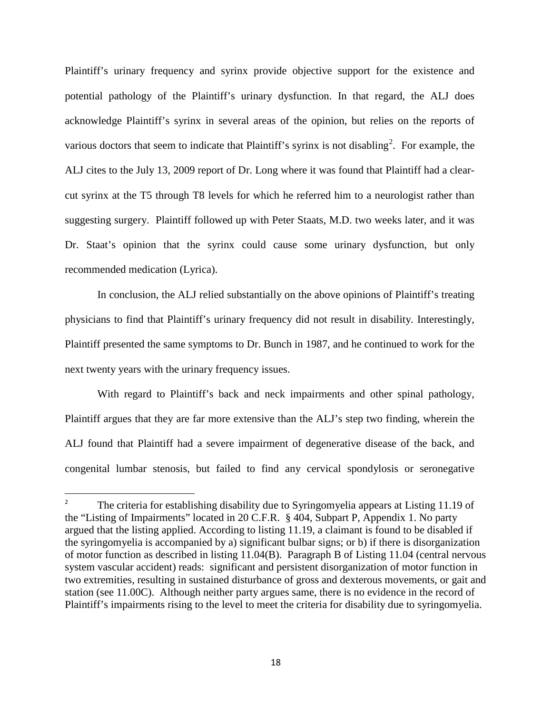Plaintiff's urinary frequency and syrinx provide objective support for the existence and potential pathology of the Plaintiff's urinary dysfunction. In that regard, the ALJ does acknowledge Plaintiff's syrinx in several areas of the opinion, but relies on the reports of various doctors that seem to indicate that Plaintiff's syrinx is not disabling<sup>[2](#page-14-0)</sup>. For example, the ALJ cites to the July 13, 2009 report of Dr. Long where it was found that Plaintiff had a clearcut syrinx at the T5 through T8 levels for which he referred him to a neurologist rather than suggesting surgery. Plaintiff followed up with Peter Staats, M.D. two weeks later, and it was Dr. Staat's opinion that the syrinx could cause some urinary dysfunction, but only recommended medication (Lyrica).

In conclusion, the ALJ relied substantially on the above opinions of Plaintiff's treating physicians to find that Plaintiff's urinary frequency did not result in disability. Interestingly, Plaintiff presented the same symptoms to Dr. Bunch in 1987, and he continued to work for the next twenty years with the urinary frequency issues.

With regard to Plaintiff's back and neck impairments and other spinal pathology, Plaintiff argues that they are far more extensive than the ALJ's step two finding, wherein the ALJ found that Plaintiff had a severe impairment of degenerative disease of the back, and congenital lumbar stenosis, but failed to find any cervical spondylosis or seronegative

 $\overline{a}$ 

<sup>2</sup> The criteria for establishing disability due to Syringomyelia appears at Listing 11.19 of the "Listing of Impairments" located in 20 C.F.R. § 404, Subpart P, Appendix 1. No party argued that the listing applied. According to listing 11.19, a claimant is found to be disabled if the syringomyelia is accompanied by a) significant bulbar signs; or b) if there is disorganization of motor function as described in listing 11.04(B). Paragraph B of Listing 11.04 (central nervous system vascular accident) reads: significant and persistent disorganization of motor function in two extremities, resulting in sustained disturbance of gross and dexterous movements, or gait and station (see 11.00C). Although neither party argues same, there is no evidence in the record of Plaintiff's impairments rising to the level to meet the criteria for disability due to syringomyelia.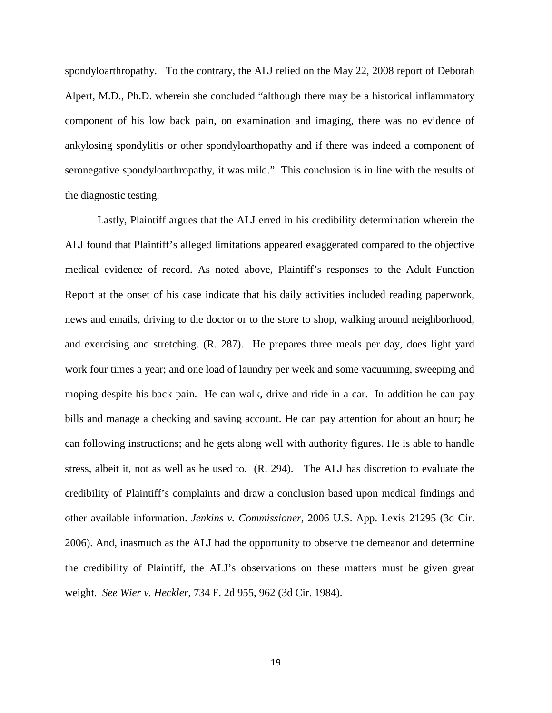spondyloarthropathy. To the contrary, the ALJ relied on the May 22, 2008 report of Deborah Alpert, M.D., Ph.D. wherein she concluded "although there may be a historical inflammatory component of his low back pain, on examination and imaging, there was no evidence of ankylosing spondylitis or other spondyloarthopathy and if there was indeed a component of seronegative spondyloarthropathy, it was mild." This conclusion is in line with the results of the diagnostic testing.

Lastly, Plaintiff argues that the ALJ erred in his credibility determination wherein the ALJ found that Plaintiff's alleged limitations appeared exaggerated compared to the objective medical evidence of record. As noted above, Plaintiff's responses to the Adult Function Report at the onset of his case indicate that his daily activities included reading paperwork, news and emails, driving to the doctor or to the store to shop, walking around neighborhood, and exercising and stretching. (R. 287). He prepares three meals per day, does light yard work four times a year; and one load of laundry per week and some vacuuming, sweeping and moping despite his back pain. He can walk, drive and ride in a car. In addition he can pay bills and manage a checking and saving account. He can pay attention for about an hour; he can following instructions; and he gets along well with authority figures. He is able to handle stress, albeit it, not as well as he used to. (R. 294). The ALJ has discretion to evaluate the credibility of Plaintiff's complaints and draw a conclusion based upon medical findings and other available information. *Jenkins v. Commissioner*, 2006 U.S. App. Lexis 21295 (3d Cir. 2006). And, inasmuch as the ALJ had the opportunity to observe the demeanor and determine the credibility of Plaintiff, the ALJ's observations on these matters must be given great weight. *See Wier v. Heckler*, 734 F. 2d 955, 962 (3d Cir. 1984).